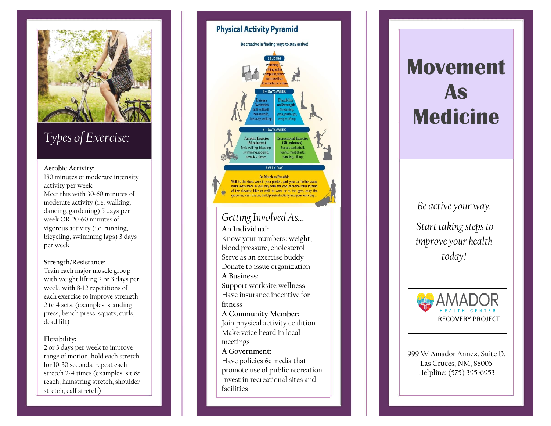

## *Types of Exercise:*

#### **Aerobic Activity:**

150 minutes of moderate intensity activity per week Meet this with 30 -60 minutes of moderate activity (i.e. walking, dancing, gardening) 5 days per week OR 20 -60 minutes of vigorous activity (i.e. running, bicycling, swimming laps) 3 days per week

#### **Strength/Resistance :**

Train each major muscle group with weight lifting 2 or 3 days per week, with 8 -12 repetitions of each exercise to improve strength 2 to 4 sets, (examples: standing press, bench press, squats, curls, dead lift)

## **Flexibility:**

2 or 3 days per week to improve range of motion, hold each stretch for 10 -30 seconds, repeat each stretch 2 -4 times (examples: sit & reach, hamstring stretch, shoulder stretch, calf stretch )

## **Physical Activity Pyramid** Be creative in finding ways to stay active! minutes at a fin **L DAVS/MEEK** oga, push-ur veight liftin Aerobic Exercise ecreational Exerc  $(60 \text{ minutes})$  $(30 + minutes)$ isk walking, bicycling Soccer, basketbal tennis, martial arts, wimming, jogging inhice class dancing, hiking As Much as Possible Walk to the store, work in your garden, park your car farther away, make extra steps in your day, walk the dog, take the stairs instead of the elevator, bike or walk to work or to the gym, carry the groceries, wash the car, build physical activity into your work day. *Getting Involved As…* **An Individual:** Know your numbers: weight, blood pressure, cholesterol Serve as an exercise buddy Donate to issue organization **A Business:** Support worksite wellness Have insurance incentive for fitness **A Community Member:** Join physical activity coalition Make voice heard in local meetings **A Government:** Have policies & media that promote use of public recreation Invest in recreational sites and facilities

# **Movement As Medicine**

*Be active your way.*

*Start taking steps to improve your health today!*



999 W Amador Annex, Suite D. Las Cruces, NM, 88005 Helpline: (575) 395 -6953